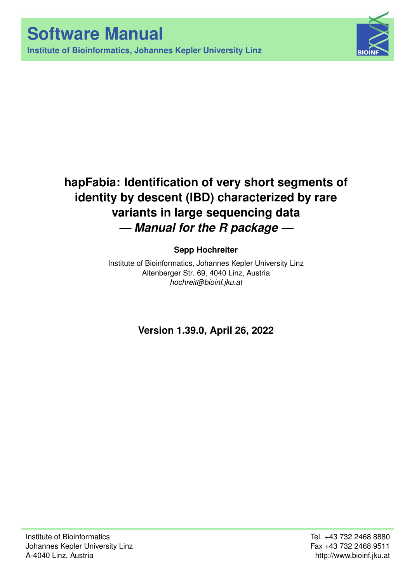**Institute of Bioinformatics, Johannes Kepler University Linz**



# **hapFabia: Identification of very short segments of identity by descent (IBD) characterized by rare variants in large sequencing data** *— Manual for the R package —*

## **Sepp Hochreiter**

Institute of Bioinformatics, Johannes Kepler University Linz Altenberger Str. 69, 4040 Linz, Austria *[hochreit@bioinf.jku.at](mailto:hochreit@bioinf.jku.at)*

**Version 1.39.0, April 26, 2022**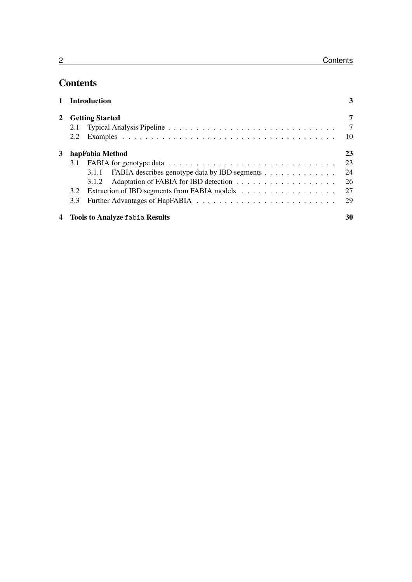## **Contents**

|                |                        | 1 Introduction                                      | 3              |
|----------------|------------------------|-----------------------------------------------------|----------------|
| $\mathbf{2}^-$ | <b>Getting Started</b> |                                                     | 7              |
|                | 2.1                    |                                                     | $\overline{7}$ |
|                | 2.2                    |                                                     | 10             |
| 3              | hapFabia Method        |                                                     | 23             |
|                | 3.1                    |                                                     | 23             |
|                |                        | 3.1.1 FABIA describes genotype data by IBD segments | 24             |
|                |                        |                                                     | 26             |
|                | 3.2                    |                                                     | 27             |
|                | 3.3                    |                                                     | 29             |
|                |                        | 4 Tools to Analyze fabia Results                    | 30             |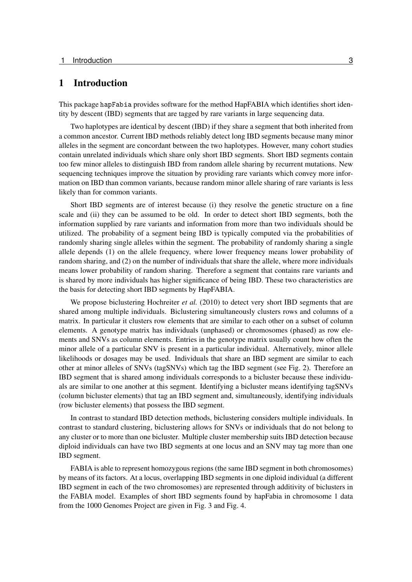### <span id="page-2-0"></span>1 Introduction

This package hapFabia provides software for the method HapFABIA which identifies short identity by descent (IBD) segments that are tagged by rare variants in large sequencing data.

Two haplotypes are identical by descent (IBD) if they share a segment that both inherited from a common ancestor. Current IBD methods reliably detect long IBD segments because many minor alleles in the segment are concordant between the two haplotypes. However, many cohort studies contain unrelated individuals which share only short IBD segments. Short IBD segments contain too few minor alleles to distinguish IBD from random allele sharing by recurrent mutations. New sequencing techniques improve the situation by providing rare variants which convey more information on IBD than common variants, because random minor allele sharing of rare variants is less likely than for common variants.

Short IBD segments are of interest because (i) they resolve the genetic structure on a fine scale and (ii) they can be assumed to be old. In order to detect short IBD segments, both the information supplied by rare variants and information from more than two individuals should be utilized. The probability of a segment being IBD is typically computed via the probabilities of randomly sharing single alleles within the segment. The probability of randomly sharing a single allele depends (1) on the allele frequency, where lower frequency means lower probability of random sharing, and (2) on the number of individuals that share the allele, where more individuals means lower probability of random sharing. Therefore a segment that contains rare variants and is shared by more individuals has higher significance of being IBD. These two characteristics are the basis for detecting short IBD segments by HapFABIA.

We propose biclustering [Hochreiter](#page-35-0) *et al.* [\(2010\)](#page-35-0) to detect very short IBD segments that are shared among multiple individuals. Biclustering simultaneously clusters rows and columns of a matrix. In particular it clusters row elements that are similar to each other on a subset of column elements. A genotype matrix has individuals (unphased) or chromosomes (phased) as row elements and SNVs as column elements. Entries in the genotype matrix usually count how often the minor allele of a particular SNV is present in a particular individual. Alternatively, minor allele likelihoods or dosages may be used. Individuals that share an IBD segment are similar to each other at minor alleles of SNVs (tagSNVs) which tag the IBD segment (see Fig. [2\)](#page-4-0). Therefore an IBD segment that is shared among individuals corresponds to a bicluster because these individuals are similar to one another at this segment. Identifying a bicluster means identifying tagSNVs (column bicluster elements) that tag an IBD segment and, simultaneously, identifying individuals (row bicluster elements) that possess the IBD segment.

In contrast to standard IBD detection methods, biclustering considers multiple individuals. In contrast to standard clustering, biclustering allows for SNVs or individuals that do not belong to any cluster or to more than one bicluster. Multiple cluster membership suits IBD detection because diploid individuals can have two IBD segments at one locus and an SNV may tag more than one IBD segment.

FABIA is able to represent homozygous regions (the same IBD segment in both chromosomes) by means of its factors. At a locus, overlapping IBD segments in one diploid individual (a different IBD segment in each of the two chromosomes) are represented through additivity of biclusters in the FABIA model. Examples of short IBD segments found by hapFabia in chromosome 1 data from the 1000 Genomes Project are given in Fig. [3](#page-4-1) and Fig. [4.](#page-5-0)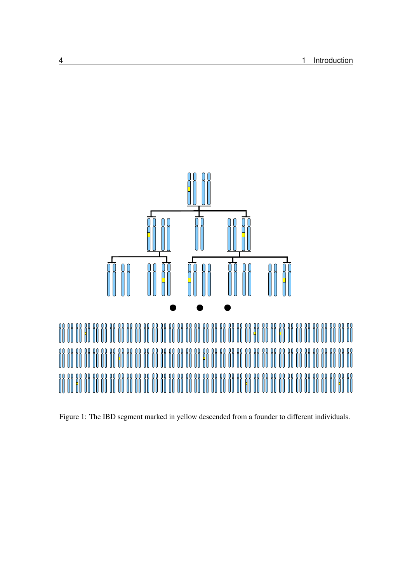

Figure 1: The IBD segment marked in yellow descended from a founder to different individuals.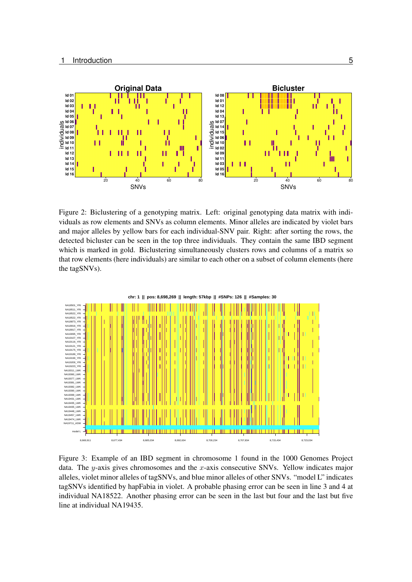

<span id="page-4-0"></span>Figure 2: Biclustering of a genotyping matrix. Left: original genotyping data matrix with individuals as row elements and SNVs as column elements. Minor alleles are indicated by violet bars and major alleles by yellow bars for each individual-SNV pair. Right: after sorting the rows, the detected bicluster can be seen in the top three individuals. They contain the same IBD segment which is marked in gold. Biclustering simultaneously clusters rows and columns of a matrix so that row elements (here individuals) are similar to each other on a subset of column elements (here the tagSNVs).



<span id="page-4-1"></span>Figure 3: Example of an IBD segment in chromosome 1 found in the 1000 Genomes Project data. The  $y$ -axis gives chromosomes and the x-axis consecutive SNVs. Yellow indicates major alleles, violet minor alleles of tagSNVs, and blue minor alleles of other SNVs. "model L" indicates tagSNVs identified by hapFabia in violet. A probable phasing error can be seen in line 3 and 4 at individual NA18522. Another phasing error can be seen in the last but four and the last but five line at individual NA19435.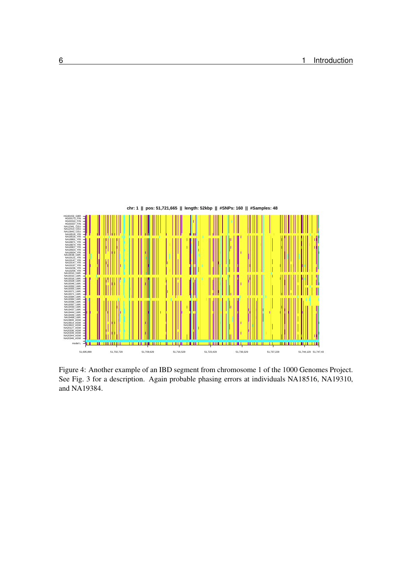

<span id="page-5-0"></span>Figure 4: Another example of an IBD segment from chromosome 1 of the 1000 Genomes Project. See Fig. [3](#page-4-1) for a description. Again probable phasing errors at individuals NA18516, NA19310, and NA19384.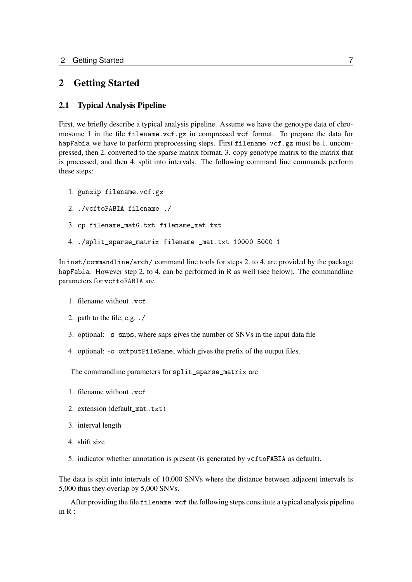## <span id="page-6-0"></span>2 Getting Started

#### <span id="page-6-1"></span>2.1 Typical Analysis Pipeline

First, we briefly describe a typical analysis pipeline. Assume we have the genotype data of chromosome 1 in the file filename.vcf.gz in compressed vcf format. To prepare the data for hapFabia we have to perform preprocessing steps. First filename.vcf.gz must be 1. uncompressed, then 2. converted to the sparse matrix format, 3. copy genotype matrix to the matrix that is processed, and then 4. split into intervals. The following command line commands perform these steps:

- 1. gunzip filename.vcf.gz
- 2. ./vcftoFABIA filename ./
- 3. cp filename\_matG.txt filename\_mat.txt
- 4. ./split\_sparse\_matrix filename \_mat.txt 10000 5000 1

In inst/commandline/arch/ command line tools for steps 2. to 4. are provided by the package hapFabia. However step 2. to 4. can be performed in R as well (see below). The commandline parameters for vcftoFABIA are

- 1. filename without .vcf
- 2. path to the file, e.g. ./
- 3. optional: -s snps, where snps gives the number of SNVs in the input data file
- 4. optional: -o outputFileName, which gives the prefix of the output files.

The commandline parameters for split\_sparse\_matrix are

- 1. filename without .vcf
- 2. extension (default\_mat.txt)
- 3. interval length
- 4. shift size
- 5. indicator whether annotation is present (is generated by vcftoFABIA as default).

The data is split into intervals of 10,000 SNVs where the distance between adjacent intervals is 5,000 thus they overlap by 5,000 SNVs.

After providing the file filename.vcf the following steps constitute a typical analysis pipeline in R :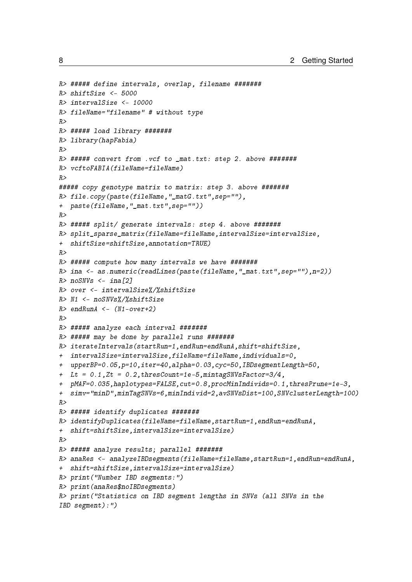```
R> ##### define intervals, overlap, filename #######
R> shiftSize <- 5000
R> intervalSize <- 10000
R> fileName="filename" # without type
R>R> ##### load library #######
R> library(hapFabia)
R>R> ##### convert from .vcf to _mat.txt: step 2. above #######
R> vcftoFABIA(fileName=fileName)
R>##### copy genotype matrix to matrix: step 3. above #######
R> file.copy(paste(fileName,"_matG.txt",sep=""),
+ paste(fileName,"_mat.txt",sep=""))
R>R> ##### split/ generate intervals: step 4. above #######
R> split_sparse_matrix(fileName=fileName,intervalSize=intervalSize,
+ shiftSize=shiftSize,annotation=TRUE)
R>R> ##### compute how many intervals we have #######
R> ina <- as.numeric(readLines(paste(fileName,"_mat.txt",sep=""),n=2))
R> noSNVs \le- ina[2]
R> over <- intervalSize%/%shiftSize
R> N1 <- noSNVs%/%shiftSize
R > endRunA \leq (N1-over+2)
R>R> ##### analyze each interval #######
R> ##### may be done by parallel runs #######
R> iterateIntervals(startRun=1,endRun=endRunA,shift=shiftSize,
+ intervalSize=intervalSize,fileName=fileName,individuals=0,
+ upperBP=0.05,p=10,iter=40,alpha=0.03,cyc=50,IBDsegmentLength=50,
+ Lt = 0.1,Zt = 0.2,thresCount=1e-5,mintagSNVsFactor=3/4,
  pMAF=0.035,haplotypes=FALSE,cut=0.8,procMinIndivids=0.1,thresPrune=1e-3,
+ simv="minD",minTagSNVs=6,minIndivid=2,avSNVsDist=100,SNVclusterLength=100)
R>R> ##### identify duplicates #######
R> identifyDuplicates(fileName=fileName,startRun=1,endRun=endRunA,
+ shift=shiftSize,intervalSize=intervalSize)
R>R> ##### analyze results; parallel #######
R> anaRes <- analyzeIBDsegments(fileName=fileName,startRun=1,endRun=endRunA,
+ shift=shiftSize,intervalSize=intervalSize)
R> print("Number IBD segments:")
R> print(anaRes$noIBDsegments)
R> print("Statistics on IBD segment lengths in SNVs (all SNVs in the
IBD segment):")
```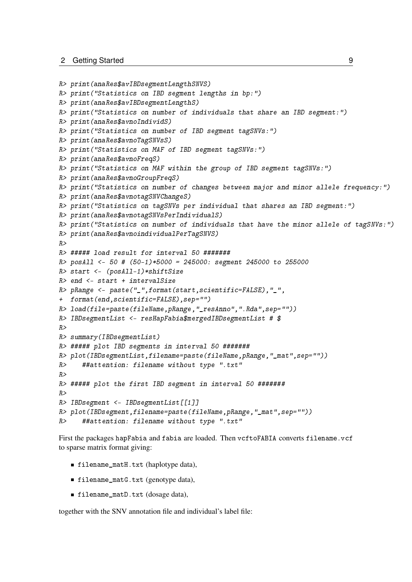```
R> print(anaRes$avIBDsegmentLengthSNVS)
R> print("Statistics on IBD segment lengths in bp:")
R> print(anaRes$avIBDsegmentLengthS)
R> print("Statistics on number of individuals that share an IBD segment:")
R> print(anaRes$avnoIndividS)
R> print("Statistics on number of IBD segment tagSNVs:")
R> print(anaRes$avnoTagSNVsS)
R> print("Statistics on MAF of IBD segment tagSNVs:")
R> print(anaRes$avnoFreqS)
R> print("Statistics on MAF within the group of IBD segment tagSNVs:")
R> print(anaRes$avnoGroupFreqS)
R> print("Statistics on number of changes between major and minor allele frequency:")
R> print(anaRes$avnotagSNVChangeS)
R> print("Statistics on tagSNVs per individual that shares an IBD segment:")
R> print(anaRes$avnotagSNVsPerIndividualS)
R> print("Statistics on number of individuals that have the minor allele of tagSNVs:")
R> print(anaRes$avnoindividualPerTagSNVS)
R>R> ##### load result for interval 50 #######
R> posAll <- 50 # (50-1)*5000 = 245000: segment 245000 to 255000
R> start <- (posAll-1)*shiftSize
R> end <- start + intervalSize
R> pRange <- paste("_",format(start,scientific=FALSE),"_",
+ format(end,scientific=FALSE),sep="")
R> load(file=paste(fileName,pRange,"_resAnno",".Rda",sep=""))
R> IBDsegmentList <- resHapFabia$mergedIBDsegmentList # $
R>
R> summary(IBDsegmentList)
R> ##### plot IBD segments in interval 50 #######
R> plot(IBDsegmentList,filename=paste(fileName,pRange,"_mat",sep=""))
R> ##attention: filename without type ".txt"
R>R> ##### plot the first IBD segment in interval 50 #######
R>R> IBDsegment <- IBDsegmentList[[1]]
R> plot(IBDsegment,filename=paste(fileName,pRange,"_mat",sep=""))
R> ##attention: filename without type ".txt"
```
First the packages hapFabia and fabia are loaded. Then vcftoFABIA converts filename.vcf to sparse matrix format giving:

- filename\_matH.txt (haplotype data),
- filename\_matG.txt (genotype data),
- filename\_matD.txt (dosage data),

together with the SNV annotation file and individual's label file: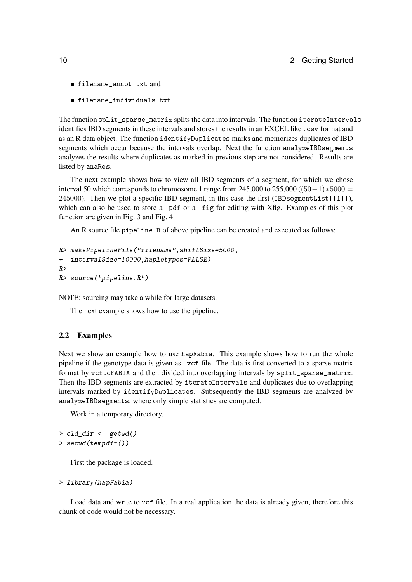- filename\_annot.txt and
- filename\_individuals.txt.

The function split\_sparse\_matrix splits the data into intervals. The function iterateIntervals identifies IBD segments in these intervals and stores the results in an EXCEL like .csv format and as an R data object. The function identifyDuplicates marks and memorizes duplicates of IBD segments which occur because the intervals overlap. Next the function analyzeIBDsegments analyzes the results where duplicates as marked in previous step are not considered. Results are listed by anaRes.

The next example shows how to view all IBD segments of a segment, for which we chose interval 50 which corresponds to chromosome 1 range from 245,000 to 255,000 (( $50-1$ )  $*5000 =$ 245000). Then we plot a specific IBD segment, in this case the first (IBDsegmentList[[1]]), which can also be used to store a .pdf or a .fig for editing with Xfig. Examples of this plot function are given in Fig. [3](#page-4-1) and Fig. [4.](#page-5-0)

An R source file pipeline.R of above pipeline can be created and executed as follows:

```
R> makePipelineFile("filename",shiftSize=5000,
   intervalSize=10000,haplotypes=FALSE)
R>R> source("pipeline.R")
```
NOTE: sourcing may take a while for large datasets.

The next example shows how to use the pipeline.

#### <span id="page-9-0"></span>2.2 Examples

Next we show an example how to use hapFabia. This example shows how to run the whole pipeline if the genotype data is given as .vcf file. The data is first converted to a sparse matrix format by vcftoFABIA and then divided into overlapping intervals by split\_sparse\_matrix. Then the IBD segments are extracted by iterateIntervals and duplicates due to overlapping intervals marked by identifyDuplicates. Subsequently the IBD segments are analyzed by analyzeIBDsegments, where only simple statistics are computed.

Work in a temporary directory.

```
> old_dir <- getwd()
> setwd(tempdir())
```
First the package is loaded.

> library(hapFabia)

Load data and write to vcf file. In a real application the data is already given, therefore this chunk of code would not be necessary.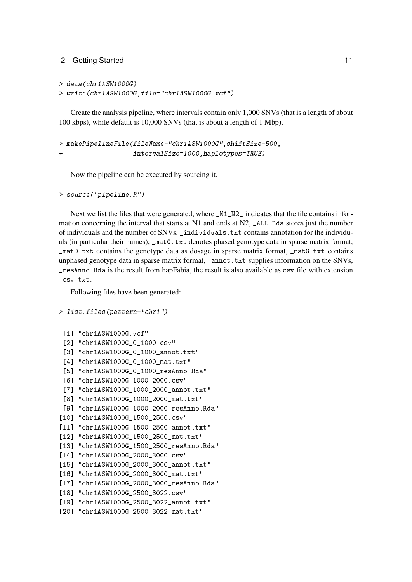```
> data(chr1ASW1000G)
> write(chr1ASW1000G,file="chr1ASW1000G.vcf")
```
Create the analysis pipeline, where intervals contain only 1,000 SNVs (that is a length of about 100 kbps), while default is 10,000 SNVs (that is about a length of 1 Mbp).

```
> makePipelineFile(fileName="chr1ASW1000G",shiftSize=500,
                   intervalSize=1000,haplotypes=TRUE)
```
Now the pipeline can be executed by sourcing it.

```
> source("pipeline.R")
```
Next we list the files that were generated, where  $_N1_N2$  indicates that the file contains information concerning the interval that starts at  $N1$  and ends at  $N2$ ,  $\angle$ ALL. Rda stores just the number of individuals and the number of SNVs, \_individuals.txt contains annotation for the individuals (in particular their names), \_matG.txt denotes phased genotype data in sparse matrix format, \_matD.txt contains the genotype data as dosage in sparse matrix format, \_matG.txt contains unphased genotype data in sparse matrix format, \_annot.txt supplies information on the SNVs, \_resAnno.Rda is the result from hapFabia, the result is also available as csv file with extension \_csv.txt.

Following files have been generated:

```
> list.files(pattern="chr1")
```

```
[1] "chr1ASW1000G.vcf"
 [2] "chr1ASW1000G_0_1000.csv"
 [3] "chr1ASW1000G_0_1000_annot.txt"
 [4] "chr1ASW1000G_0_1000_mat.txt"
 [5] "chr1ASW1000G_0_1000_resAnno.Rda"
 [6] "chr1ASW1000G_1000_2000.csv"
 [7] "chr1ASW1000G_1000_2000_annot.txt"
 [8] "chr1ASW1000G_1000_2000_mat.txt"
 [9] "chr1ASW1000G_1000_2000_resAnno.Rda"
[10] "chr1ASW1000G_1500_2500.csv"
[11] "chr1ASW1000G_1500_2500_annot.txt"
[12] "chr1ASW1000G 1500 2500 mat.txt"
[13] "chr1ASW1000G_1500_2500_resAnno.Rda"
[14] "chr1ASW1000G_2000_3000.csv"
[15] "chr1ASW1000G_2000_3000_annot.txt"
[16] "chr1ASW1000G 2000 3000 mat.txt"
[17] "chr1ASW1000G_2000_3000_resAnno.Rda"
[18] "chr1ASW1000G_2500_3022.csv"
[19] "chr1ASW1000G_2500_3022_annot.txt"
[20] "chr1ASW1000G_2500_3022_mat.txt"
```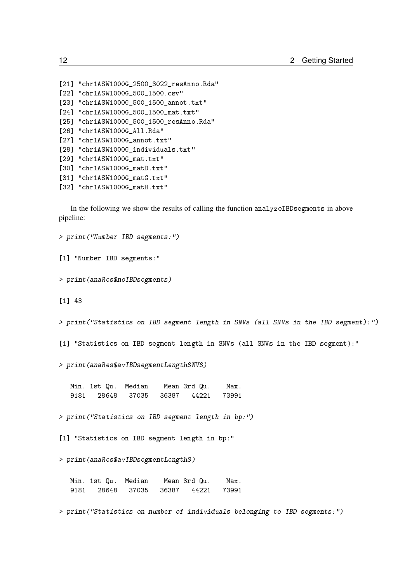```
[21] "chr1ASW1000G_2500_3022_resAnno.Rda"
[22] "chr1ASW1000G_500_1500.csv"
[23] "chr1ASW1000G_500_1500_annot.txt"
[24] "chr1ASW1000G 500 1500 mat.txt"
[25] "chr1ASW1000G_500_1500_resAnno.Rda"
[26] "chr1ASW1000G_All.Rda"
[27] "chr1ASW1000G_annot.txt"
[28] "chr1ASW1000G_individuals.txt"
[29] "chr1ASW1000G_mat.txt"
[30] "chr1ASW1000G_matD.txt"
[31] "chr1ASW1000G_matG.txt"
[32] "chr1ASW1000G_matH.txt"
```
In the following we show the results of calling the function analyzeIBDsegments in above pipeline:

> print("Number IBD segments:")

[1] "Number IBD segments:"

> print(anaRes\$noIBDsegments)

[1] 43

> print("Statistics on IBD segment length in SNVs (all SNVs in the IBD segment):")

[1] "Statistics on IBD segment length in SNVs (all SNVs in the IBD segment):"

> print(anaRes\$avIBDsegmentLengthSNVS)

Min. 1st Qu. Median Mean 3rd Qu. Max. 9181 28648 37035 36387 44221 73991

> print("Statistics on IBD segment length in bp:")

[1] "Statistics on IBD segment length in bp:"

> print(anaRes\$avIBDsegmentLengthS)

Min. 1st Qu. Median Mean 3rd Qu. Max. 9181 28648 37035 36387 44221 73991

> print("Statistics on number of individuals belonging to IBD segments:")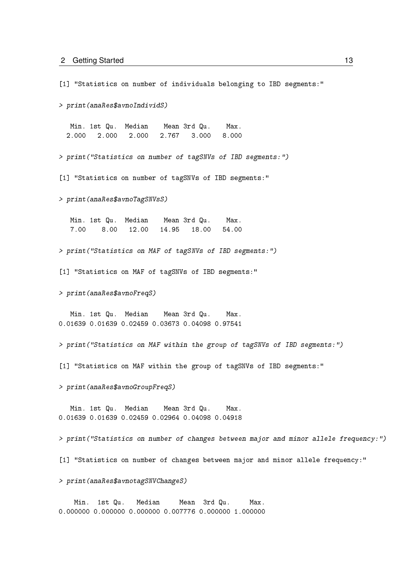[1] "Statistics on number of individuals belonging to IBD segments:"

> print(anaRes\$avnoIndividS)

Min. 1st Qu. Median Mean 3rd Qu. Max. 2.000 2.000 2.000 2.767 3.000 8.000

> print("Statistics on number of tagSNVs of IBD segments:")

[1] "Statistics on number of tagSNVs of IBD segments:"

> print(anaRes\$avnoTagSNVsS)

Min. 1st Qu. Median Mean 3rd Qu. Max. 7.00 8.00 12.00 14.95 18.00 54.00

> print("Statistics on MAF of tagSNVs of IBD segments:")

[1] "Statistics on MAF of tagSNVs of IBD segments:"

> print(anaRes\$avnoFreqS)

Min. 1st Qu. Median Mean 3rd Qu. Max. 0.01639 0.01639 0.02459 0.03673 0.04098 0.97541

> print("Statistics on MAF within the group of tagSNVs of IBD segments:")

[1] "Statistics on MAF within the group of tagSNVs of IBD segments:"

> print(anaRes\$avnoGroupFreqS)

Min. 1st Qu. Median Mean 3rd Qu. Max. 0.01639 0.01639 0.02459 0.02964 0.04098 0.04918

> print("Statistics on number of changes between major and minor allele frequency:")

[1] "Statistics on number of changes between major and minor allele frequency:"

> print(anaRes\$avnotagSNVChangeS)

Min. 1st Qu. Median Mean 3rd Qu. Max. 0.000000 0.000000 0.000000 0.007776 0.000000 1.000000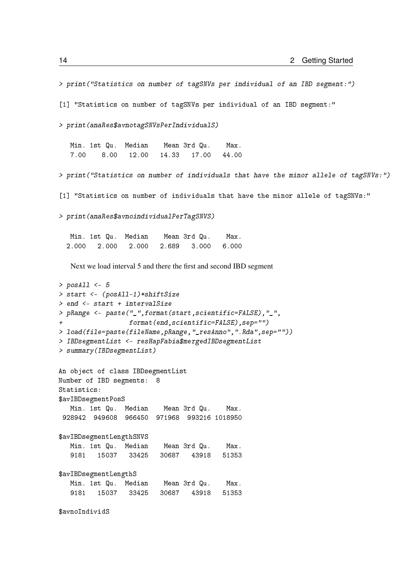```
> print("Statistics on number of tagSNVs per individual of an IBD segment:")
[1] "Statistics on number of tagSNVs per individual of an IBD segment:"
> print(anaRes$avnotagSNVsPerIndividualS)
  Min. 1st Qu. Median Mean 3rd Qu. Max.
   7.00 8.00 12.00 14.33 17.00 44.00
> print("Statistics on number of individuals that have the minor allele of tagSNVs:")
[1] "Statistics on number of individuals that have the minor allele of tagSNVs:"
> print(anaRes$avnoindividualPerTagSNVS)
  Min. 1st Qu. Median Mean 3rd Qu. Max.
  2.000 2.000 2.000 2.689 3.000 6.000
   Next we load interval 5 and there the first and second IBD segment
> posAll <-5> start <- (posAll-1)*shiftSize
> end <- start + intervalSize
> pRange <- paste("_",format(start,scientific=FALSE),"_",
                 + format(end,scientific=FALSE),sep="")
> load(file=paste(fileName,pRange,"_resAnno",".Rda",sep=""))
> IBDsegmentList <- resHapFabia$mergedIBDsegmentList
> summary(IBDsegmentList)
An object of class IBDsegmentList
Number of IBD segments: 8
Statistics:
$avIBDsegmentPosS
  Min. 1st Qu. Median Mean 3rd Qu. Max.
 928942 949608 966450 971968 993216 1018950
$avIBDsegmentLengthSNVS
  Min. 1st Qu. Median Mean 3rd Qu. Max.
   9181 15037 33425 30687 43918 51353
$avIBDsegmentLengthS
  Min. 1st Qu. Median Mean 3rd Qu. Max.
   9181 15037 33425 30687 43918 51353
```
\$avnoIndividS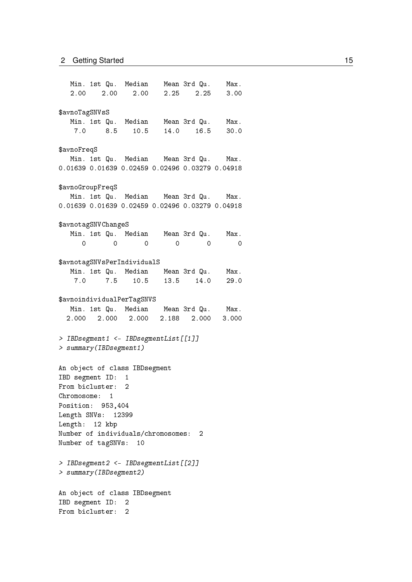Min. 1st Qu. Median Mean 3rd Qu. Max. 2.00 2.00 2.00 2.25 2.25 3.00 \$avnoTagSNVsS Min. 1st Qu. Median Mean 3rd Qu. Max. 7.0 8.5 10.5 14.0 16.5 30.0 \$avnoFreqS Min. 1st Qu. Median Mean 3rd Qu. Max. 0.01639 0.01639 0.02459 0.02496 0.03279 0.04918 \$avnoGroupFreqS Min. 1st Qu. Median Mean 3rd Qu. Max. 0.01639 0.01639 0.02459 0.02496 0.03279 0.04918 \$avnotagSNVChangeS Min. 1st Qu. Median Mean 3rd Qu. Max. 0 0 0 0 0 0 \$avnotagSNVsPerIndividualS Min. 1st Qu. Median Mean 3rd Qu. Max. 7.0 7.5 10.5 13.5 14.0 29.0 \$avnoindividualPerTagSNVS Min. 1st Qu. Median Mean 3rd Qu. Max. 2.000 2.000 2.000 2.188 2.000 3.000 > IBDsegment1 <- IBDsegmentList[[1]] > summary(IBDsegment1) An object of class IBDsegment IBD segment ID: 1 From bicluster: 2 Chromosome: 1 Position: 953,404 Length SNVs: 12399 Length: 12 kbp Number of individuals/chromosomes: 2 Number of tagSNVs: 10 > IBDsegment2 <- IBDsegmentList[[2]] > summary(IBDsegment2) An object of class IBDsegment IBD segment ID: 2 From bicluster: 2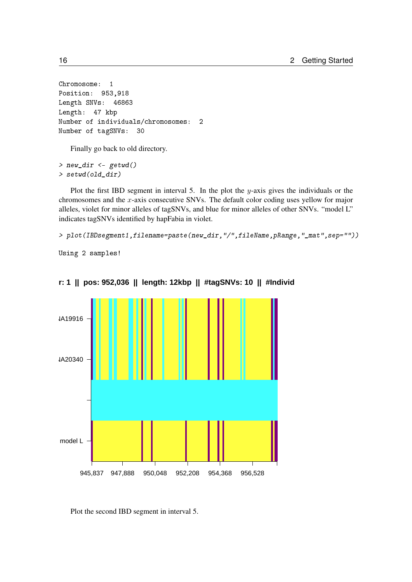```
Chromosome: 1
Position: 953,918
Length SNVs: 46863
Length: 47 kbp
Number of individuals/chromosomes: 2
Number of tagSNVs: 30
```
Finally go back to old directory.

> new\_dir <- getwd() > setwd(old\_dir)

Plot the first IBD segment in interval 5. In the plot the  $y$ -axis gives the individuals or the chromosomes and the x-axis consecutive SNVs. The default color coding uses yellow for major alleles, violet for minor alleles of tagSNVs, and blue for minor alleles of other SNVs. "model L" indicates tagSNVs identified by hapFabia in violet.

> plot(IBDsegment1,filename=paste(new\_dir,"/",fileName,pRange,"\_mat",sep=""))

Using 2 samples!



**r: 1 || pos: 952,036 || length: 12kbp || #tagSNVs: 10 || #Individ** 

Plot the second IBD segment in interval 5.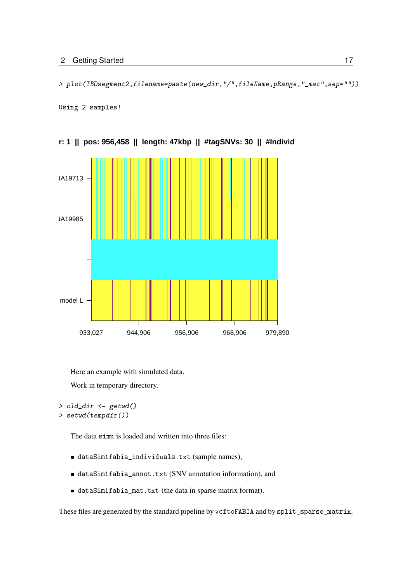> plot(IBDsegment2,filename=paste(new\_dir,"/",fileName,pRange,"\_mat",sep=""))

Using 2 samples!



**chr: 1 || pos: 956,458 || length: 47kbp || #tagSNVs: 30 || #Individuals: 2**

Here an example with simulated data. Work in temporary directory.

> old\_dir <- getwd()

```
> setwd(tempdir())
```
The data simu is loaded and written into three files:

- dataSim1fabia\_individuals.txt (sample names),
- dataSim1fabia\_annot.txt (SNV annotation information), and
- dataSim1fabia\_mat.txt (the data in sparse matrix format).

These files are generated by the standard pipeline by vcftoFABIA and by split\_sparse\_matrix.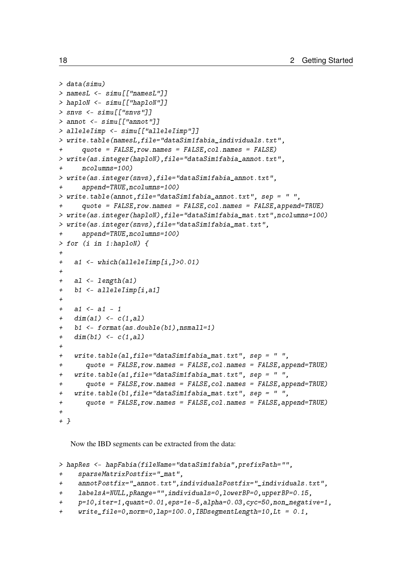```
> data(simu)
> namesL <- simu[["namesL"]]
> haploN <- simu[["haploN"]]
> snvs \leq simu [["snvs"]]
> annot <- simu[["annot"]]
> alleleIimp <- simu[["alleleIimp"]]
> write.table(namesL,file="dataSim1fabia_individuals.txt",
+ quote = FALSE,row.names = FALSE,col.names = FALSE)
> write(as.integer(haploN),file="dataSim1fabia_annot.txt",
+ ncolumns=100)
> write(as.integer(snvs),file="dataSim1fabia_annot.txt",
+ append=TRUE,ncolumns=100)
> write.table(annot,file="dataSim1fabia_annot.txt", sep = " ",
+ quote = FALSE,row.names = FALSE,col.names = FALSE,append=TRUE)
> write(as.integer(haploN),file="dataSim1fabia_mat.txt",ncolumns=100)
> write(as.integer(snvs),file="dataSim1fabia_mat.txt",
+ append=TRUE,ncolumns=100)
> for (i in 1:haploN) {
+
+ a1 <- which(alleleIimp[i,]>0.01)
+
+ al <- length(a1)
+ b1 <- alleleIimp[i,a1]
+
+ a1 <- a1 - 1
+ dim(a1) <- c(1, a1)+ b1 <- format(as.double(b1),nsmall=1)
+ dim(b1) <- c(1, a1)+
+ write.table(al,file="dataSim1fabia_mat.txt", sep = " ",
+ quote = FALSE,row.names = FALSE,col.names = FALSE,append=TRUE)
+ write.table(a1,file="dataSim1fabia_mat.txt", sep = " ",
+ quote = FALSE,row.names = FALSE,col.names = FALSE,append=TRUE)
+ write.table(b1,file="dataSim1fabia_mat.txt", sep = " ",
+ quote = FALSE,row.names = FALSE,col.names = FALSE,append=TRUE)
+
+ }
```
Now the IBD segments can be extracted from the data:

```
> hapRes <- hapFabia(fileName="dataSim1fabia",prefixPath="",
+ sparseMatrixPostfix="_mat",
+ annotPostfix="_annot.txt",individualsPostfix="_individuals.txt",
    + labelsA=NULL,pRange="",individuals=0,lowerBP=0,upperBP=0.15,
+ p=10,iter=1,quant=0.01,eps=1e-5,alpha=0.03,cyc=50,non_negative=1,
+ write_file=0,norm=0,lap=100.0,IBDsegmentLength=10,Lt = 0.1,
```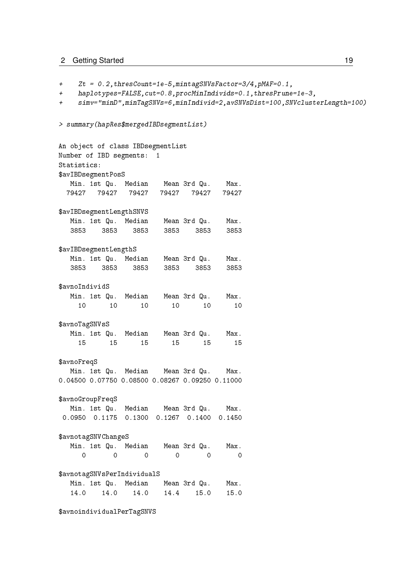+ Zt = 0.2,thresCount=1e-5,mintagSNVsFactor=3/4,pMAF=0.1, + haplotypes=FALSE,cut=0.8,procMinIndivids=0.1,thresPrune=1e-3, + simv="minD",minTagSNVs=6,minIndivid=2,avSNVsDist=100,SNVclusterLength=100) > summary(hapRes\$mergedIBDsegmentList) An object of class IBDsegmentList Number of IBD segments: 1 Statistics: \$avIBDsegmentPosS Min. 1st Qu. Median Mean 3rd Qu. Max. 79427 79427 79427 79427 79427 79427 \$avIBDsegmentLengthSNVS Min. 1st Qu. Median Mean 3rd Qu. Max. 3853 3853 3853 3853 3853 3853 \$avIBDsegmentLengthS Min. 1st Qu. Median Mean 3rd Qu. Max. 3853 3853 3853 3853 3853 3853 \$avnoIndividS Min. 1st Qu. Median Mean 3rd Qu. Max. 10 10 10 10 10 10 \$avnoTagSNVsS Min. 1st Qu. Median Mean 3rd Qu. Max. 15 15 15 15 15 15 \$avnoFreqS Min. 1st Qu. Median Mean 3rd Qu. Max. 0.04500 0.07750 0.08500 0.08267 0.09250 0.11000 \$avnoGroupFreqS Min. 1st Qu. Median Mean 3rd Qu. Max. 0.0950 0.1175 0.1300 0.1267 0.1400 0.1450 \$avnotagSNVChangeS Min. 1st Qu. Median Mean 3rd Qu. Max. 0 0 0 0 0 0 \$avnotagSNVsPerIndividualS Min. 1st Qu. Median Mean 3rd Qu. Max. 14.0 14.0 14.0 14.4 15.0 15.0 \$avnoindividualPerTagSNVS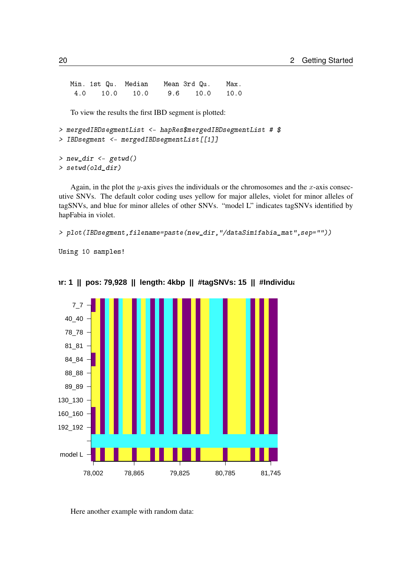Min. 1st Qu. Median Mean 3rd Qu. Max. 4.0 10.0 10.0 9.6 10.0 10.0

To view the results the first IBD segment is plotted:

```
> mergedIBDsegmentList <- hapRes$mergedIBDsegmentList # $
> IBDsegment <- mergedIBDsegmentList[[1]]
```

```
> new_dir <- getwd()
> setwd(old_dir)
```
Again, in the plot the y-axis gives the individuals or the chromosomes and the  $x$ -axis consecutive SNVs. The default color coding uses yellow for major alleles, violet for minor alleles of tagSNVs, and blue for minor alleles of other SNVs. "model L" indicates tagSNVs identified by hapFabia in violet.

> plot(IBDsegment,filename=paste(new\_dir,"/dataSim1fabia\_mat",sep=""))

Using 10 samples!



**chr: 1** || pos: 79,928 || length: 4kbp || #tagSNVs: 15 || #Individual

Here another example with random data: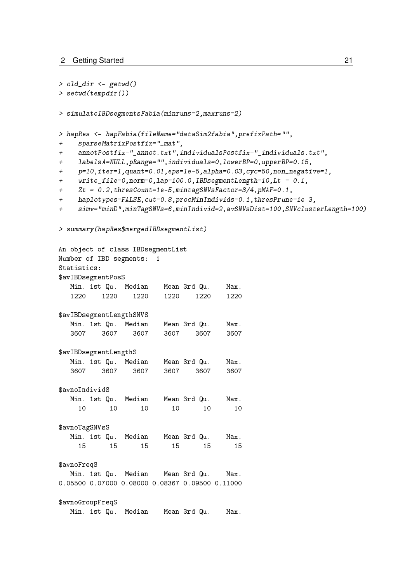```
> old_dir <- getwd()
> setwd(tempdir())
> simulateIBDsegmentsFabia(minruns=2,maxruns=2)
> hapRes <- hapFabia(fileName="dataSim2fabia",prefixPath="",
+ sparseMatrixPostfix="_mat",
+ annotPostfix="_annot.txt",individualsPostfix="_individuals.txt",
+ labelsA=NULL,pRange="",individuals=0,lowerBP=0,upperBP=0.15,
+ p=10,iter=1,quant=0.01,eps=1e-5,alpha=0.03,cyc=50,non_negative=1,
+ write_file=0,norm=0,lap=100.0,IBDsegmentLength=10,Lt = 0.1,
+ Zt = 0.2,thresCount=1e-5,mintagSNVsFactor=3/4,pMAF=0.1,
+ haplotypes=FALSE,cut=0.8,procMinIndivids=0.1,thresPrune=1e-3,
+ simv="minD",minTagSNVs=6,minIndivid=2,avSNVsDist=100,SNVclusterLength=100)
> summary(hapRes$mergedIBDsegmentList)
An object of class IBDsegmentList
Number of IBD segments: 1
Statistics:
$avIBDsegmentPosS
  Min. 1st Qu. Median Mean 3rd Qu. Max.
   1220 1220 1220 1220 1220 1220
$avIBDsegmentLengthSNVS
  Min. 1st Qu. Median Mean 3rd Qu. Max.
   3607 3607 3607 3607 3607 3607
$avIBDsegmentLengthS
  Min. 1st Qu. Median Mean 3rd Qu. Max.
  3607 3607 3607 3607 3607 3607
$avnoIndividS
  Min. 1st Qu. Median Mean 3rd Qu. Max.
    10 10 10 10 10 10
$avnoTagSNVsS
  Min. 1st Qu. Median Mean 3rd Qu. Max.
    15 15 15 15 15 15
$avnoFreqS
  Min. 1st Qu. Median Mean 3rd Qu. Max.
0.05500 0.07000 0.08000 0.08367 0.09500 0.11000
$avnoGroupFreqS
  Min. 1st Qu. Median Mean 3rd Qu. Max.
```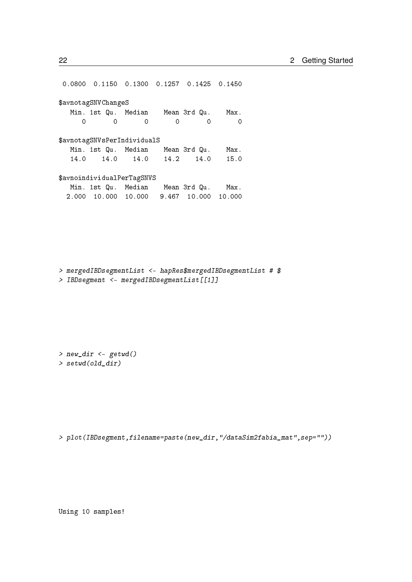0.0800 0.1150 0.1300 0.1257 0.1425 0.1450 \$avnotagSNVChangeS Min. 1st Qu. Median Mean 3rd Qu. Max. 0 0 0 0 0 0 \$avnotagSNVsPerIndividualS Min. 1st Qu. Median Mean 3rd Qu. Max. 14.0 14.0 14.0 14.2 14.0 15.0 \$avnoindividualPerTagSNVS Min. 1st Qu. Median Mean 3rd Qu. Max. 2.000 10.000 10.000 9.467 10.000 10.000

> mergedIBDsegmentList <- hapRes\$mergedIBDsegmentList # \$ > IBDsegment <- mergedIBDsegmentList[[1]]

> new\_dir <- getwd() > setwd(old\_dir)

> plot(IBDsegment,filename=paste(new\_dir,"/dataSim2fabia\_mat",sep=""))

Using 10 samples!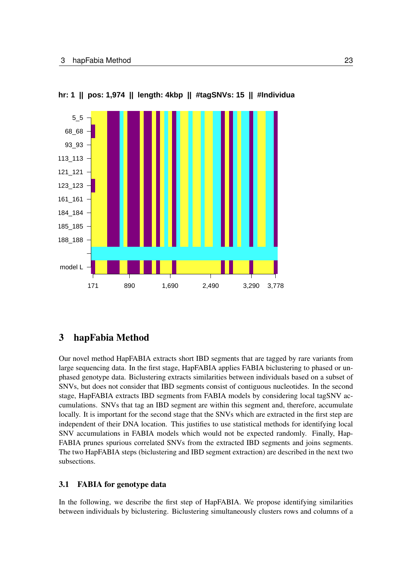

**hr: 1 || pos: 1,974 || length: 4kbp || #tagSNVs: 15 || #Individual** 

## <span id="page-22-0"></span>3 hapFabia Method

Our novel method HapFABIA extracts short IBD segments that are tagged by rare variants from large sequencing data. In the first stage, HapFABIA applies FABIA biclustering to phased or unphased genotype data. Biclustering extracts similarities between individuals based on a subset of SNVs, but does not consider that IBD segments consist of contiguous nucleotides. In the second stage, HapFABIA extracts IBD segments from FABIA models by considering local tagSNV accumulations. SNVs that tag an IBD segment are within this segment and, therefore, accumulate locally. It is important for the second stage that the SNVs which are extracted in the first step are independent of their DNA location. This justifies to use statistical methods for identifying local SNV accumulations in FABIA models which would not be expected randomly. Finally, Hap-FABIA prunes spurious correlated SNVs from the extracted IBD segments and joins segments. The two HapFABIA steps (biclustering and IBD segment extraction) are described in the next two subsections.

#### <span id="page-22-1"></span>3.1 FABIA for genotype data

In the following, we describe the first step of HapFABIA. We propose identifying similarities between individuals by biclustering. Biclustering simultaneously clusters rows and columns of a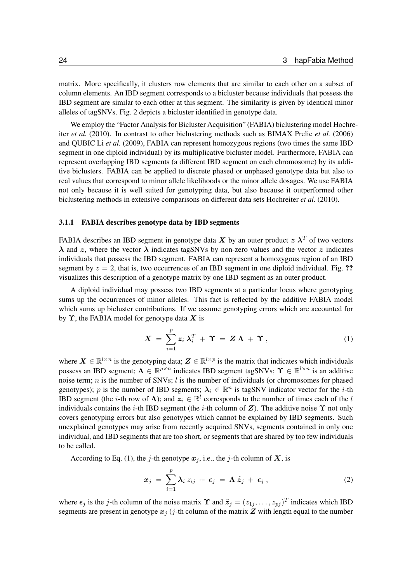matrix. More specifically, it clusters row elements that are similar to each other on a subset of column elements. An IBD segment corresponds to a bicluster because individuals that possess the IBD segment are similar to each other at this segment. The similarity is given by identical minor alleles of tagSNVs. Fig. [2](#page-4-0) depicts a bicluster identified in genotype data.

We employ the "Factor Analysis for Bicluster Acquisition" (FABIA) biclustering model [Hochre](#page-35-0)iter *[et al.](#page-35-0)* [\(2010\)](#page-35-0). In contrast to other biclustering methods such as BIMAX [Prelic](#page-35-1) *et al.* [\(2006\)](#page-35-1) and QUBIC Li *[et al.](#page-35-2)* [\(2009\)](#page-35-2), FABIA can represent homozygous regions (two times the same IBD segment in one diploid individual) by its multiplicative bicluster model. Furthermore, FABIA can represent overlapping IBD segments (a different IBD segment on each chromosome) by its additive biclusters. FABIA can be applied to discrete phased or unphased genotype data but also to real values that correspond to minor allele likelihoods or the minor allele dosages. We use FABIA not only because it is well suited for genotyping data, but also because it outperformed other biclustering methods in extensive comparisons on different data sets [Hochreiter](#page-35-0) *et al.* [\(2010\)](#page-35-0).

#### <span id="page-23-0"></span>3.1.1 FABIA describes genotype data by IBD segments

FABIA describes an IBD segment in genotype data X by an outer product  $z \lambda^T$  of two vectors  $\lambda$  and z, where the vector  $\lambda$  indicates tagSNVs by non-zero values and the vector z indicates individuals that possess the IBD segment. FABIA can represent a homozygous region of an IBD segment by  $z = 2$ , that is, two occurrences of an IBD segment in one diploid individual. Fig. ?? visualizes this description of a genotype matrix by one IBD segment as an outer product.

A diploid individual may possess two IBD segments at a particular locus where genotyping sums up the occurrences of minor alleles. This fact is reflected by the additive FABIA model which sums up bicluster contributions. If we assume genotyping errors which are accounted for by  $\Upsilon$ , the FABIA model for genotype data X is

<span id="page-23-1"></span>
$$
\mathbf{X} = \sum_{i=1}^{p} \mathbf{z}_i \,\boldsymbol{\lambda}_i^T + \mathbf{\Upsilon} = \mathbf{Z} \,\boldsymbol{\Lambda} + \mathbf{\Upsilon} \,, \tag{1}
$$

where  $X \in \mathbb{R}^{l \times n}$  is the genotyping data;  $Z \in \mathbb{R}^{l \times p}$  is the matrix that indicates which individuals possess an IBD segment;  $\Lambda \in \mathbb{R}^{p \times n}$  indicates IBD segment tagSNVs;  $\Upsilon \in \mathbb{R}^{l \times n}$  is an additive noise term;  $n$  is the number of SNVs;  $l$  is the number of individuals (or chromosomes for phased genotypes); p is the number of IBD segments;  $\lambda_i \in \mathbb{R}^n$  is tagSNV indicator vector for the *i*-th IBD segment (the *i*-th row of  $\Lambda$ ); and  $z_i \in \mathbb{R}^l$  corresponds to the number of times each of the *l* individuals contains the *i*-th IBD segment (the *i*-th column of  $Z$ ). The additive noise  $\Upsilon$  not only covers genotyping errors but also genotypes which cannot be explained by IBD segments. Such unexplained genotypes may arise from recently acquired SNVs, segments contained in only one individual, and IBD segments that are too short, or segments that are shared by too few individuals to be called.

According to Eq. [\(1\)](#page-23-1), the j-th genotype  $x_i$ , i.e., the j-th column of X, is

<span id="page-23-2"></span>
$$
x_j = \sum_{i=1}^p \lambda_i z_{ij} + \epsilon_j = \Lambda \tilde{z}_j + \epsilon_j , \qquad (2)
$$

where  $\epsilon_j$  is the j-th column of the noise matrix  $\Upsilon$  and  $\tilde{z}_j = (z_{1j}, \dots, z_{pj})^T$  indicates which IBD segments are present in genotype  $x_i$  (*j*-th column of the matrix  $Z$  with length equal to the number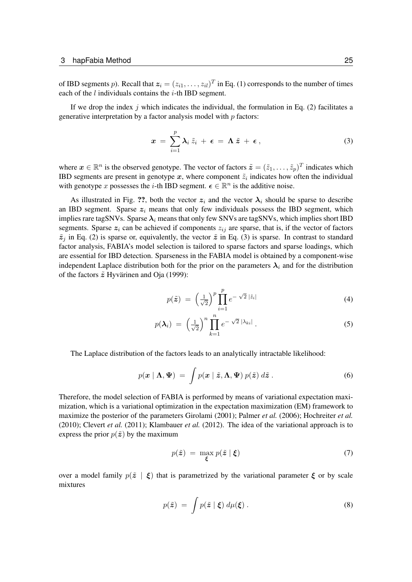of IBD segments p). Recall that  $z_i = (z_{i1}, \dots, z_{il})^T$  in Eq. [\(1\)](#page-23-1) corresponds to the number of times each of the  $l$  individuals contains the  $i$ -th IBD segment.

If we drop the index j which indicates the individual, the formulation in Eq.  $(2)$  facilitates a generative interpretation by a factor analysis model with  $p$  factors:

<span id="page-24-0"></span>
$$
x = \sum_{i=1}^p \lambda_i \, \tilde{z}_i + \epsilon = \Lambda \, \tilde{z} + \epsilon \,, \tag{3}
$$

where  $x \in \mathbb{R}^n$  is the observed genotype. The vector of factors  $\tilde{z} = (\tilde{z}_1, \dots, \tilde{z}_p)^T$  indicates which IBD segments are present in genotype x, where component  $\tilde{z}_i$  indicates how often the individual with genotype x possesses the *i*-th IBD segment.  $\epsilon \in \mathbb{R}^n$  is the additive noise.

As illustrated in Fig. ??, both the vector  $z_i$  and the vector  $\lambda_i$  should be sparse to describe an IBD segment. Sparse  $z_i$  means that only few individuals possess the IBD segment, which implies rare tagSNVs. Sparse  $\lambda_i$  means that only few SNVs are tagSNVs, which implies short IBD segments. Sparse  $z_i$  can be achieved if components  $z_{ij}$  are sparse, that is, if the vector of factors  $\tilde{z}_j$  in Eq. [\(2\)](#page-23-2) is sparse or, equivalently, the vector  $\tilde{z}$  in Eq. [\(3\)](#page-24-0) is sparse. In contrast to standard factor analysis, FABIA's model selection is tailored to sparse factors and sparse loadings, which are essential for IBD detection. Sparseness in the FABIA model is obtained by a component-wise independent Laplace distribution both for the prior on the parameters  $\lambda_i$  and for the distribution of the factors  $\tilde{z}$  [Hyvärinen and Oja](#page-35-3) [\(1999\)](#page-35-3):

$$
p(\tilde{\boldsymbol{z}}) = \left(\frac{1}{\sqrt{2}}\right)^p \prod_{i=1}^p e^{-\sqrt{2}|\tilde{z}_i|} \tag{4}
$$

$$
p(\boldsymbol{\lambda}_i) = \left(\frac{1}{\sqrt{2}}\right)^n \prod_{k=1}^n e^{-\sqrt{2} |\lambda_{ki}|}.
$$
 (5)

The Laplace distribution of the factors leads to an analytically intractable likelihood:

$$
p(\mathbf{x} \mid \mathbf{\Lambda}, \mathbf{\Psi}) = \int p(\mathbf{x} \mid \tilde{\mathbf{z}}, \mathbf{\Lambda}, \mathbf{\Psi}) p(\tilde{\mathbf{z}}) d\tilde{\mathbf{z}}.
$$
 (6)

Therefore, the model selection of FABIA is performed by means of variational expectation maximization, which is a variational optimization in the expectation maximization (EM) framework to maximize the posterior of the parameters [Girolami](#page-35-4) [\(2001\)](#page-35-4); [Palmer](#page-35-5) *et al.* [\(2006\)](#page-35-5); [Hochreiter](#page-35-0) *et al.* [\(2010\)](#page-35-0); [Clevert](#page-35-6) *et al.* [\(2011\)](#page-35-6); [Klambauer](#page-35-7) *et al.* [\(2012\)](#page-35-7). The idea of the variational approach is to express the prior  $p(\tilde{z})$  by the maximum

<span id="page-24-1"></span>
$$
p(\tilde{z}) = \max_{\xi} p(\tilde{z} \mid \xi) \tag{7}
$$

over a model family  $p(\tilde{z} | \xi)$  that is parametrized by the variational parameter  $\xi$  or by scale mixtures

$$
p(\tilde{\boldsymbol{z}}) = \int p(\tilde{\boldsymbol{z}} \mid \boldsymbol{\xi}) \, d\mu(\boldsymbol{\xi}) \,.
$$
 (8)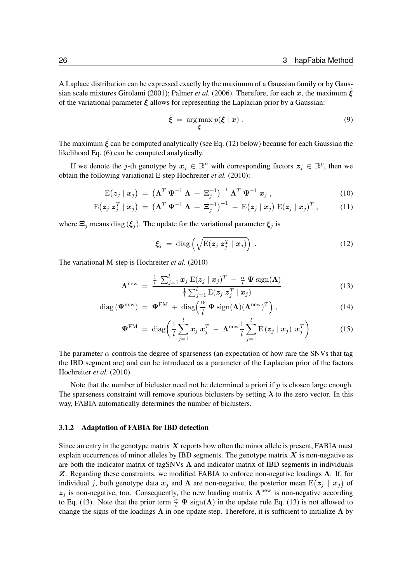A Laplace distribution can be expressed exactly by the maximum of a Gaussian family or by Gaus-sian scale mixtures [Girolami](#page-35-4) [\(2001\)](#page-35-4); [Palmer](#page-35-5) *et al.* [\(2006\)](#page-35-5). Therefore, for each x, the maximum  $\xi$ of the variational parameter  $\xi$  allows for representing the Laplacian prior by a Gaussian:

<span id="page-25-3"></span>
$$
\hat{\xi} = \arg \max_{\xi} p(\xi \mid x) . \tag{9}
$$

The maximum  $\hat{\xi}$  can be computed analytically (see Eq. [\(12\)](#page-25-1) below) because for each Gaussian the likelihood Eq. [\(6\)](#page-24-1) can be computed analytically.

If we denote the j-th genotype by  $x_j \in \mathbb{R}^n$  with corresponding factors  $z_j \in \mathbb{R}^p$ , then we obtain the following variational E-step [Hochreiter](#page-35-0) *et al.* [\(2010\)](#page-35-0):

$$
E(z_j | x_j) = (\Lambda^T \Psi^{-1} \Lambda + \Xi_j^{-1})^{-1} \Lambda^T \Psi^{-1} x_j , \qquad (10)
$$

$$
E(z_j z_j^T | x_j) = (\Lambda^T \Psi^{-1} \Lambda + \Xi_j^{-1})^{-1} + E(z_j | x_j) E(z_j | x_j)^T, \qquad (11)
$$

where  $\Xi_j$  means diag ( $\xi_j$ ). The update for the variational parameter  $\xi_j$  is

<span id="page-25-4"></span><span id="page-25-2"></span><span id="page-25-1"></span>
$$
\xi_j = \text{diag}\left(\sqrt{\mathrm{E}(z_j \; z_j^T \mid \bm{x}_j)}\right) \,. \tag{12}
$$

The variational M-step is [Hochreiter](#page-35-0) *et al.* [\(2010\)](#page-35-0)

$$
\Lambda^{\text{new}} = \frac{\frac{1}{l} \sum_{j=1}^{l} x_j \mathbf{E}(\boldsymbol{z}_j \mid \boldsymbol{x}_j)^T - \frac{\alpha}{l} \boldsymbol{\Psi} \mathbf{sign}(\boldsymbol{\Lambda})}{\frac{1}{l} \sum_{j=1}^{l} \mathbf{E}(\boldsymbol{z}_j \ \boldsymbol{z}_j^T \mid \boldsymbol{x}_j)} \tag{13}
$$

$$
\text{diag}\left(\mathbf{\Psi}^{\text{new}}\right) = \mathbf{\Psi}^{\text{EM}} + \text{diag}\left(\frac{\alpha}{l} \mathbf{\Psi} \text{sign}(\mathbf{\Lambda})(\mathbf{\Lambda}^{\text{new}})^{T}\right),\tag{14}
$$

$$
\mathbf{\Psi}^{\text{EM}} = \text{diag}\bigg(\frac{1}{l}\sum_{j=1}^{l} \boldsymbol{x}_j \, \boldsymbol{x}_j^T - \boldsymbol{\Lambda}^{\text{new}} \frac{1}{l}\sum_{j=1}^{l} \text{E}\left(\boldsymbol{z}_j \mid \boldsymbol{x}_j\right) \, \boldsymbol{x}_j^T\bigg). \tag{15}
$$

The parameter  $\alpha$  controls the degree of sparseness (an expectation of how rare the SNVs that tag the IBD segment are) and can be introduced as a parameter of the Laplacian prior of the factors [Hochreiter](#page-35-0) *et al.* [\(2010\)](#page-35-0).

Note that the number of bicluster need not be determined a priori if  $p$  is chosen large enough. The sparseness constraint will remove spurious biclusters by setting  $\lambda$  to the zero vector. In this way, FABIA automatically determines the number of biclusters.

#### <span id="page-25-0"></span>3.1.2 Adaptation of FABIA for IBD detection

Since an entry in the genotype matrix  $X$  reports how often the minor allele is present, FABIA must explain occurrences of minor alleles by IBD segments. The genotype matrix  $X$  is non-negative as are both the indicator matrix of tagSNVs  $\Lambda$  and indicator matrix of IBD segments in individuals Z. Regarding these constraints, we modified FABIA to enforce non-negative loadings  $\Lambda$ . If, for individual j, both genotype data  $x_j$  and  $\Lambda$  are non-negative, the posterior mean  $E(z_j | x_j)$  of  $z_j$  is non-negative, too. Consequently, the new loading matrix  $\Lambda^{\text{new}}$  is non-negative according to Eq. [\(13\)](#page-25-2). Note that the prior term  $\frac{\alpha}{l} \Psi \text{sign}(\Lambda)$  in the update rule Eq. (13) is not allowed to change the signs of the loadings  $\Lambda$  in one update step. Therefore, it is sufficient to initialize  $\Lambda$  by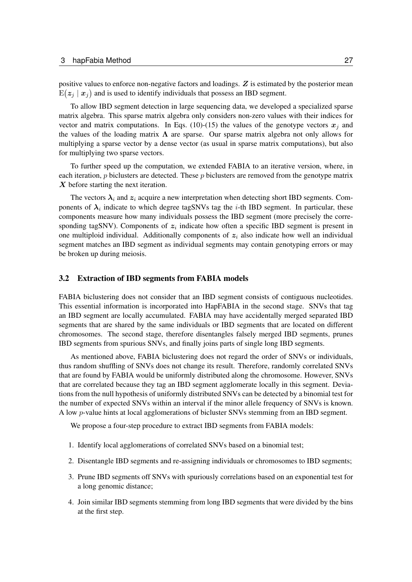positive values to enforce non-negative factors and loadings.  $Z$  is estimated by the posterior mean  $\mathbb{E}(\boldsymbol{z}_j \mid \boldsymbol{x}_j)$  and is used to identify individuals that possess an IBD segment.

To allow IBD segment detection in large sequencing data, we developed a specialized sparse matrix algebra. This sparse matrix algebra only considers non-zero values with their indices for vector and matrix computations. In Eqs. [\(10\)](#page-25-3)-[\(15\)](#page-25-4) the values of the genotype vectors  $x_i$  and the values of the loading matrix  $\Lambda$  are sparse. Our sparse matrix algebra not only allows for multiplying a sparse vector by a dense vector (as usual in sparse matrix computations), but also for multiplying two sparse vectors.

To further speed up the computation, we extended FABIA to an iterative version, where, in each iteration,  $p$  biclusters are detected. These  $p$  biclusters are removed from the genotype matrix  $\boldsymbol{X}$  before starting the next iteration.

The vectors  $\lambda_i$  and  $z_i$  acquire a new interpretation when detecting short IBD segments. Components of  $\lambda_i$  indicate to which degree tagSNVs tag the *i*-th IBD segment. In particular, these components measure how many individuals possess the IBD segment (more precisely the corresponding tagSNV). Components of  $z_i$  indicate how often a specific IBD segment is present in one multiploid individual. Additionally components of  $z_i$  also indicate how well an individual segment matches an IBD segment as individual segments may contain genotyping errors or may be broken up during meiosis.

#### <span id="page-26-0"></span>3.2 Extraction of IBD segments from FABIA models

FABIA biclustering does not consider that an IBD segment consists of contiguous nucleotides. This essential information is incorporated into HapFABIA in the second stage. SNVs that tag an IBD segment are locally accumulated. FABIA may have accidentally merged separated IBD segments that are shared by the same individuals or IBD segments that are located on different chromosomes. The second stage, therefore disentangles falsely merged IBD segments, prunes IBD segments from spurious SNVs, and finally joins parts of single long IBD segments.

As mentioned above, FABIA biclustering does not regard the order of SNVs or individuals, thus random shuffling of SNVs does not change its result. Therefore, randomly correlated SNVs that are found by FABIA would be uniformly distributed along the chromosome. However, SNVs that are correlated because they tag an IBD segment agglomerate locally in this segment. Deviations from the null hypothesis of uniformly distributed SNVs can be detected by a binomial test for the number of expected SNVs within an interval if the minor allele frequency of SNVs is known. A low p-value hints at local agglomerations of bicluster SNVs stemming from an IBD segment.

We propose a four-step procedure to extract IBD segments from FABIA models:

- 1. Identify local agglomerations of correlated SNVs based on a binomial test;
- 2. Disentangle IBD segments and re-assigning individuals or chromosomes to IBD segments;
- 3. Prune IBD segments off SNVs with spuriously correlations based on an exponential test for a long genomic distance;
- 4. Join similar IBD segments stemming from long IBD segments that were divided by the bins at the first step.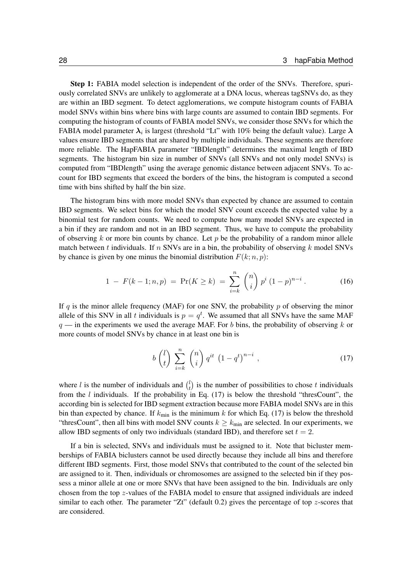Step 1: FABIA model selection is independent of the order of the SNVs. Therefore, spuriously correlated SNVs are unlikely to agglomerate at a DNA locus, whereas tagSNVs do, as they are within an IBD segment. To detect agglomerations, we compute histogram counts of FABIA model SNVs within bins where bins with large counts are assumed to contain IBD segments. For computing the histogram of counts of FABIA model SNVs, we consider those SNVs for which the FABIA model parameter  $\lambda_i$  is largest (threshold "Lt" with 10% being the default value). Large  $\lambda$ values ensure IBD segments that are shared by multiple individuals. These segments are therefore more reliable. The HapFABIA parameter "IBDlength" determines the maximal length of IBD segments. The histogram bin size in number of SNVs (all SNVs and not only model SNVs) is computed from "IBDlength" using the average genomic distance between adjacent SNVs. To account for IBD segments that exceed the borders of the bins, the histogram is computed a second time with bins shifted by half the bin size.

The histogram bins with more model SNVs than expected by chance are assumed to contain IBD segments. We select bins for which the model SNV count exceeds the expected value by a binomial test for random counts. We need to compute how many model SNVs are expected in a bin if they are random and not in an IBD segment. Thus, we have to compute the probability of observing k or more bin counts by chance. Let  $p$  be the probability of a random minor allele match between t individuals. If n SNVs are in a bin, the probability of observing  $k$  model SNVs by chance is given by one minus the binomial distribution  $F(k; n, p)$ :

$$
1 - F(k - 1; n, p) = \Pr(K \ge k) = \sum_{i=k}^{n} \binom{n}{i} p^{i} (1 - p)^{n - i}.
$$
 (16)

If q is the minor allele frequency (MAF) for one SNV, the probability  $p$  of observing the minor allele of this SNV in all t individuals is  $p = q<sup>t</sup>$ . We assumed that all SNVs have the same MAF  $q$  — in the experiments we used the average MAF. For b bins, the probability of observing k or more counts of model SNVs by chance in at least one bin is

<span id="page-27-0"></span>
$$
b\begin{pmatrix}l\\t\end{pmatrix}\sum_{i=k}^{n}\binom{n}{i}q^{it}\left(1-q^{t}\right)^{n-i},\qquad(17)
$$

where l is the number of individuals and  $\binom{l}{t}$  $t<sub>t</sub><sup>l</sup>$ ) is the number of possibilities to chose t individuals from the  $l$  individuals. If the probability in Eq. [\(17\)](#page-27-0) is below the threshold "thresCount", the according bin is selected for IBD segment extraction because more FABIA model SNVs are in this bin than expected by chance. If  $k_{\text{min}}$  is the minimum k for which Eq. [\(17\)](#page-27-0) is below the threshold "thresCount", then all bins with model SNV counts  $k \geq k_{\text{min}}$  are selected. In our experiments, we allow IBD segments of only two individuals (standard IBD), and therefore set  $t = 2$ .

If a bin is selected, SNVs and individuals must be assigned to it. Note that bicluster memberships of FABIA biclusters cannot be used directly because they include all bins and therefore different IBD segments. First, those model SNVs that contributed to the count of the selected bin are assigned to it. Then, individuals or chromosomes are assigned to the selected bin if they possess a minor allele at one or more SNVs that have been assigned to the bin. Individuals are only chosen from the top z-values of the FABIA model to ensure that assigned individuals are indeed similar to each other. The parameter " $Zt$ " (default 0.2) gives the percentage of top z-scores that are considered.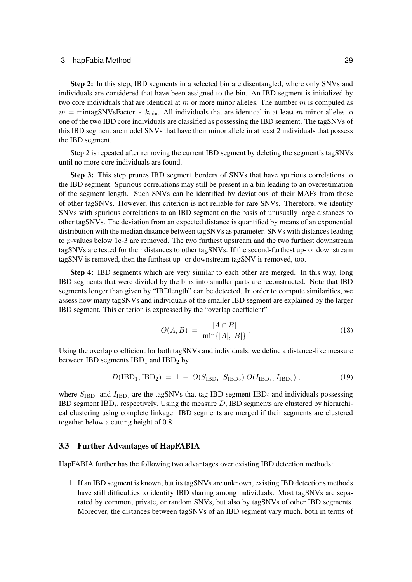Step 2: In this step, IBD segments in a selected bin are disentangled, where only SNVs and individuals are considered that have been assigned to the bin. An IBD segment is initialized by two core individuals that are identical at m or more minor alleles. The number  $m$  is computed as  $m =$  mintagSNVsFactor  $\times k_{\text{min}}$ . All individuals that are identical in at least m minor alleles to one of the two IBD core individuals are classified as possessing the IBD segment. The tagSNVs of this IBD segment are model SNVs that have their minor allele in at least 2 individuals that possess the IBD segment.

Step 2 is repeated after removing the current IBD segment by deleting the segment's tagSNVs until no more core individuals are found.

Step 3: This step prunes IBD segment borders of SNVs that have spurious correlations to the IBD segment. Spurious correlations may still be present in a bin leading to an overestimation of the segment length. Such SNVs can be identified by deviations of their MAFs from those of other tagSNVs. However, this criterion is not reliable for rare SNVs. Therefore, we identify SNVs with spurious correlations to an IBD segment on the basis of unusually large distances to other tagSNVs. The deviation from an expected distance is quantified by means of an exponential distribution with the median distance between tagSNVs as parameter. SNVs with distances leading to *p*-values below 1e-3 are removed. The two furthest upstream and the two furthest downstream tagSNVs are tested for their distances to other tagSNVs. If the second-furthest up- or downstream tagSNV is removed, then the furthest up- or downstream tagSNV is removed, too.

Step 4: IBD segments which are very similar to each other are merged. In this way, long IBD segments that were divided by the bins into smaller parts are reconstructed. Note that IBD segments longer than given by "IBDlength" can be detected. In order to compute similarities, we assess how many tagSNVs and individuals of the smaller IBD segment are explained by the larger IBD segment. This criterion is expressed by the "overlap coefficient"

$$
O(A, B) = \frac{|A \cap B|}{\min\{|A|, |B|\}}.
$$
\n(18)

Using the overlap coefficient for both tagSNVs and individuals, we define a distance-like measure between IBD segments  $IBD_1$  and  $IBD_2$  by

$$
D(IBD_1, IBD_2) = 1 - O(S_{IBD_1}, S_{IBD_2}) O(I_{IBD_1}, I_{IBD_2}), \qquad (19)
$$

where  $S_{\text{IBD}_i}$  and  $I_{\text{IBD}_i}$  are the tagSNVs that tag IBD segment IBD<sub>i</sub> and individuals possessing IBD segment  $IBD_i$ , respectively. Using the measure  $D$ , IBD segments are clustered by hierarchical clustering using complete linkage. IBD segments are merged if their segments are clustered together below a cutting height of 0.8.

#### <span id="page-28-0"></span>3.3 Further Advantages of HapFABIA

HapFABIA further has the following two advantages over existing IBD detection methods:

1. If an IBD segment is known, but its tagSNVs are unknown, existing IBD detections methods have still difficulties to identify IBD sharing among individuals. Most tagSNVs are separated by common, private, or random SNVs, but also by tagSNVs of other IBD segments. Moreover, the distances between tagSNVs of an IBD segment vary much, both in terms of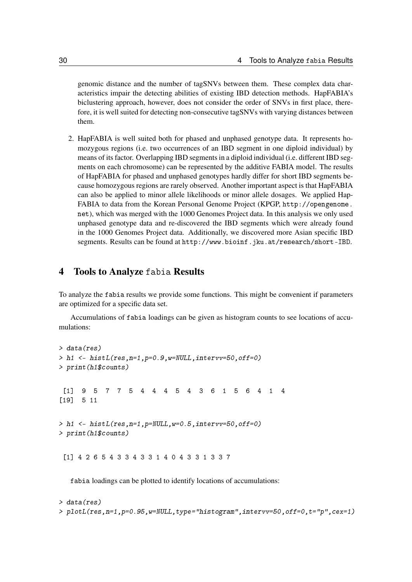genomic distance and the number of tagSNVs between them. These complex data characteristics impair the detecting abilities of existing IBD detection methods. HapFABIA's biclustering approach, however, does not consider the order of SNVs in first place, therefore, it is well suited for detecting non-consecutive tagSNVs with varying distances between them.

2. HapFABIA is well suited both for phased and unphased genotype data. It represents homozygous regions (i.e. two occurrences of an IBD segment in one diploid individual) by means of its factor. Overlapping IBD segments in a diploid individual (i.e. different IBD segments on each chromosome) can be represented by the additive FABIA model. The results of HapFABIA for phased and unphased genotypes hardly differ for short IBD segments because homozygous regions are rarely observed. Another important aspect is that HapFABIA can also be applied to minor allele likelihoods or minor allele dosages. We applied Hap-FABIA to data from the Korean Personal Genome Project (KPGP, [http://opengenome.](http://opengenome.net) [net](http://opengenome.net)), which was merged with the 1000 Genomes Project data. In this analysis we only used unphased genotype data and re-discovered the IBD segments which were already found in the 1000 Genomes Project data. Additionally, we discovered more Asian specific IBD segments. Results can be found at <http://www.bioinf.jku.at/research/short-IBD>.

### <span id="page-29-0"></span>4 Tools to Analyze fabia Results

To analyze the fabia results we provide some functions. This might be convenient if parameters are optimized for a specific data set.

Accumulations of fabia loadings can be given as histogram counts to see locations of accumulations:

```
> data(res)
> h1 <- histL(res,n=1,p=0.9,w=NULL,intervv=50,off=0)
> print(h1$counts)
 [1] 9 5 7 7 5 4 4 4 5 4 3 6 1 5 6 4 1 4
[19] 5 11
> h1 <- histL(res,n=1,p=NULL,w=0.5,intervv=50,off=0)
> print(h1$counts)
 [1] 4 2 6 5 4 3 3 4 3 3 1 4 0 4 3 3 1 3 3 7
```
fabia loadings can be plotted to identify locations of accumulations:

> data(res) > plotL(res,n=1,p=0.95,w=NULL,type="histogram",intervv=50,off=0,t="p",cex=1)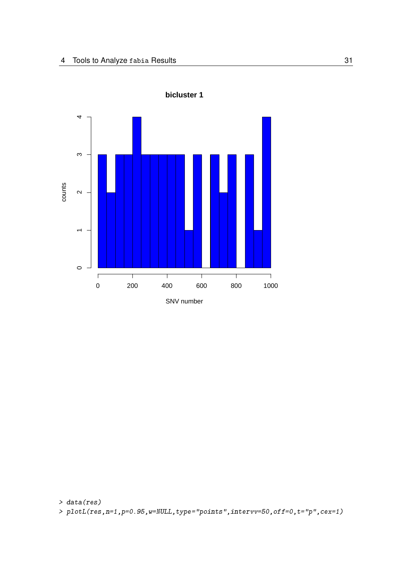

**bicluster 1**

> data(res) > plotL(res,n=1,p=0.95,w=NULL,type="points",intervv=50,off=0,t="p",cex=1)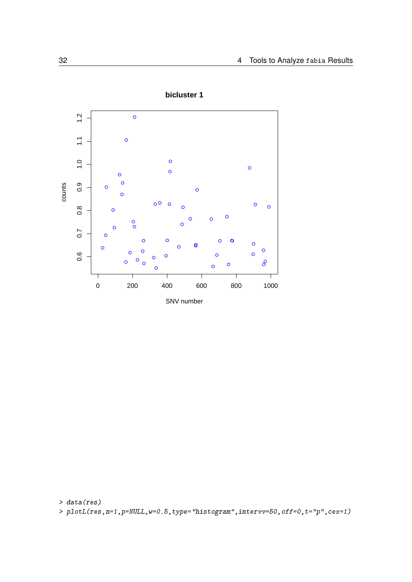



> data(res) >  $p\nightharpoonup$ plotL(res, n=1, p=NULL, w=0.5, type="histogram", intervv=50, off=0, t="p", cex=1)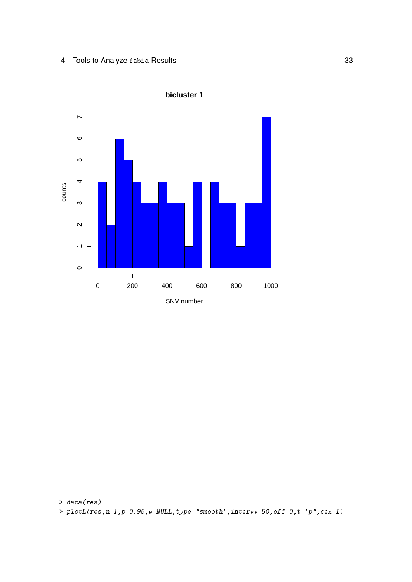



> data(res) > plotL(res,n=1,p=0.95,w=NULL,type="smooth",intervv=50,off=0,t="p",cex=1)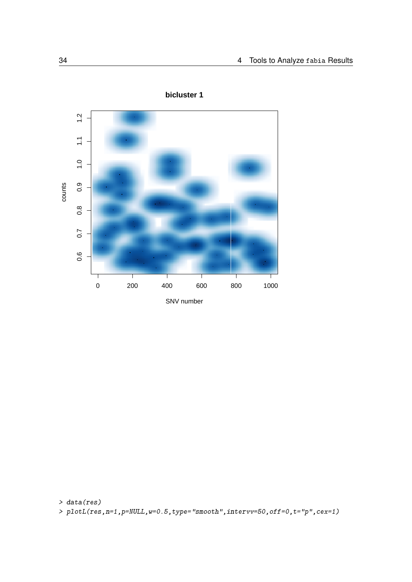

**bicluster 1**

> data(res)

> plotL(res,n=1,p=NULL,w=0.5,type="smooth",intervv=50,off=0,t="p",cex=1)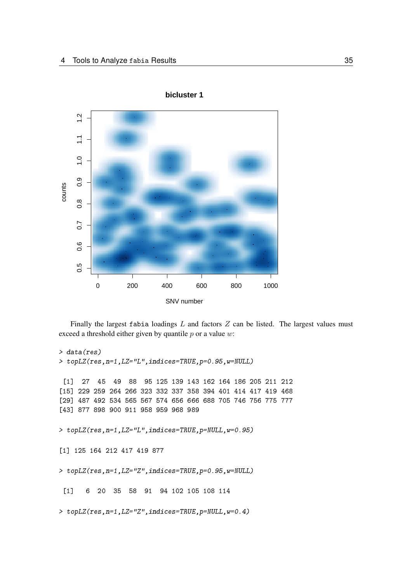



Finally the largest fabia loadings  $L$  and factors  $Z$  can be listed. The largest values must exceed a threshold either given by quantile  $p$  or a value  $w$ :

```
> data(res)
> topLZ(res,n=1,LZ="L",indices=TRUE,p=0.95,w=NULL)
 [1] 27 45 49 88 95 125 139 143 162 164 186 205 211 212
[15] 229 259 264 266 323 332 337 358 394 401 414 417 419 468
[29] 487 492 534 565 567 574 656 666 688 705 746 756 775 777
[43] 877 898 900 911 958 959 968 989
> topLZ(res,n=1,LZ="L",indices=TRUE,p=NULL,w=0.95)
[1] 125 164 212 417 419 877
> topLZ(res,n=1,LZ="Z",indices=TRUE,p=0.95,w=NULL)
 [1] 6 20 35 58 91 94 102 105 108 114
> topLZ(res,n=1,LZ="Z",indices=TRUE,p=NULL,w=0.4)
```